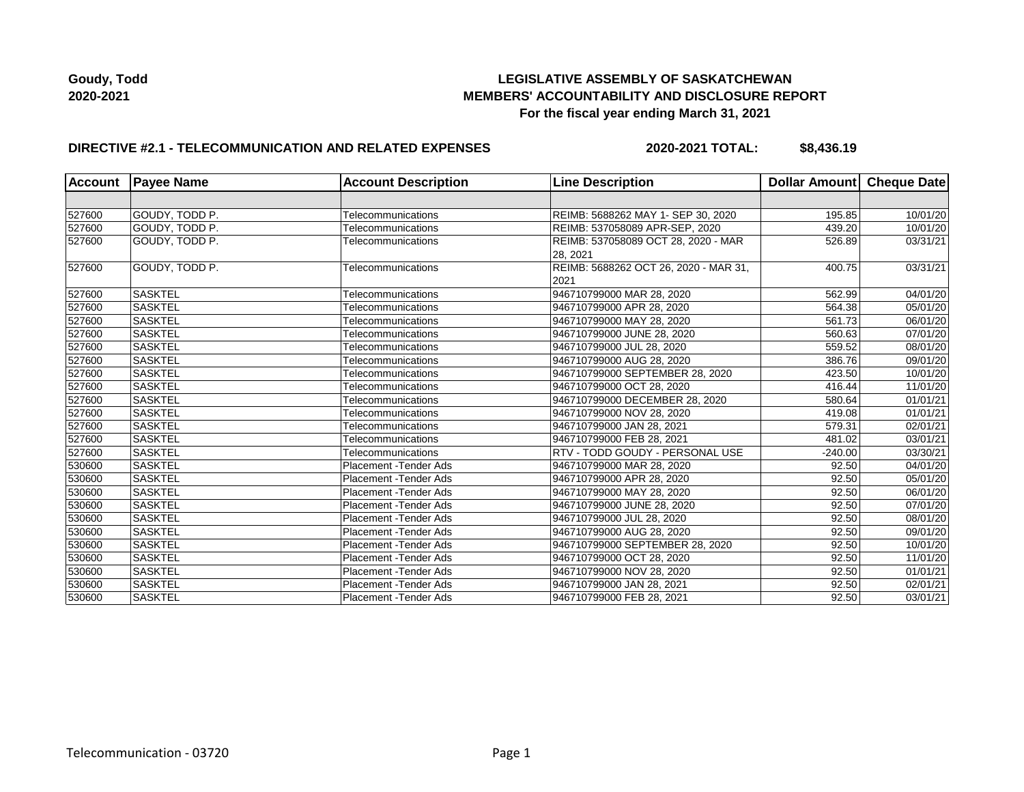## **LEGISLATIVE ASSEMBLY OF SASKATCHEWAN MEMBERS' ACCOUNTABILITY AND DISCLOSURE REPORT For the fiscal year ending March 31, 2021**

## **DIRECTIVE #2.1 - TELECOMMUNICATION AND RELATED EXPENSES**

**2020-2021 TOTAL: \$8,436.19**

| <b>Account</b> | <b>Payee Name</b> | <b>Account Description</b>    | <b>Line Description</b>               | Dollar Amount | <b>Cheque Date</b> |
|----------------|-------------------|-------------------------------|---------------------------------------|---------------|--------------------|
|                |                   |                               |                                       |               |                    |
| 527600         | GOUDY, TODD P.    | Telecommunications            | REIMB: 5688262 MAY 1- SEP 30, 2020    | 195.85        | 10/01/20           |
| 527600         | GOUDY, TODD P.    | Telecommunications            | REIMB: 537058089 APR-SEP, 2020        | 439.20        | 10/01/20           |
| 527600         | GOUDY, TODD P.    | Telecommunications            | REIMB: 537058089 OCT 28, 2020 - MAR   | 526.89        | 03/31/21           |
|                |                   |                               | 28, 2021                              |               |                    |
| 527600         | GOUDY, TODD P.    | Telecommunications            | REIMB: 5688262 OCT 26, 2020 - MAR 31, | 400.75        | 03/31/21           |
|                |                   |                               | 2021                                  |               |                    |
| 527600         | <b>SASKTEL</b>    | Telecommunications            | 946710799000 MAR 28, 2020             | 562.99        | 04/01/20           |
| 527600         | <b>SASKTEL</b>    | Telecommunications            | 946710799000 APR 28, 2020             | 564.38        | 05/01/20           |
| 527600         | <b>SASKTEL</b>    | Telecommunications            | 946710799000 MAY 28, 2020             | 561.73        | 06/01/20           |
| 527600         | <b>SASKTEL</b>    | Telecommunications            | 946710799000 JUNE 28, 2020            | 560.63        | 07/01/20           |
| 527600         | <b>SASKTEL</b>    | Telecommunications            | 946710799000 JUL 28, 2020             | 559.52        | 08/01/20           |
| 527600         | <b>SASKTEL</b>    | Telecommunications            | 946710799000 AUG 28, 2020             | 386.76        | 09/01/20           |
| 527600         | <b>SASKTEL</b>    | Telecommunications            | 946710799000 SEPTEMBER 28, 2020       | 423.50        | 10/01/20           |
| 527600         | <b>SASKTEL</b>    | Telecommunications            | 946710799000 OCT 28, 2020             | 416.44        | 11/01/20           |
| 527600         | <b>SASKTEL</b>    | Telecommunications            | 946710799000 DECEMBER 28, 2020        | 580.64        | 01/01/21           |
| 527600         | <b>SASKTEL</b>    | Telecommunications            | 946710799000 NOV 28, 2020             | 419.08        | 01/01/21           |
| 527600         | <b>SASKTEL</b>    | Telecommunications            | 946710799000 JAN 28, 2021             | 579.31        | 02/01/21           |
| 527600         | <b>SASKTEL</b>    | Telecommunications            | 946710799000 FEB 28, 2021             | 481.02        | 03/01/21           |
| 527600         | <b>SASKTEL</b>    | Telecommunications            | RTV - TODD GOUDY - PERSONAL USE       | $-240.00$     | 03/30/21           |
| 530600         | <b>SASKTEL</b>    | Placement - Tender Ads        | 946710799000 MAR 28, 2020             | 92.50         | 04/01/20           |
| 530600         | <b>SASKTEL</b>    | <b>Placement - Tender Ads</b> | 946710799000 APR 28, 2020             | 92.50         | 05/01/20           |
| 530600         | <b>SASKTEL</b>    | Placement - Tender Ads        | 946710799000 MAY 28, 2020             | 92.50         | 06/01/20           |
| 530600         | <b>SASKTEL</b>    | Placement - Tender Ads        | 946710799000 JUNE 28, 2020            | 92.50         | 07/01/20           |
| 530600         | <b>SASKTEL</b>    | Placement - Tender Ads        | 946710799000 JUL 28, 2020             | 92.50         | 08/01/20           |
| 530600         | <b>SASKTEL</b>    | <b>Placement - Tender Ads</b> | 946710799000 AUG 28, 2020             | 92.50         | 09/01/20           |
| 530600         | <b>SASKTEL</b>    | Placement - Tender Ads        | 946710799000 SEPTEMBER 28, 2020       | 92.50         | 10/01/20           |
| 530600         | <b>SASKTEL</b>    | Placement - Tender Ads        | 946710799000 OCT 28, 2020             | 92.50         | 11/01/20           |
| 530600         | <b>SASKTEL</b>    | Placement - Tender Ads        | 946710799000 NOV 28, 2020             | 92.50         | 01/01/21           |
| 530600         | <b>SASKTEL</b>    | Placement - Tender Ads        | 946710799000 JAN 28, 2021             | 92.50         | 02/01/21           |
| 530600         | <b>SASKTEL</b>    | Placement - Tender Ads        | 946710799000 FEB 28, 2021             | 92.50         | 03/01/21           |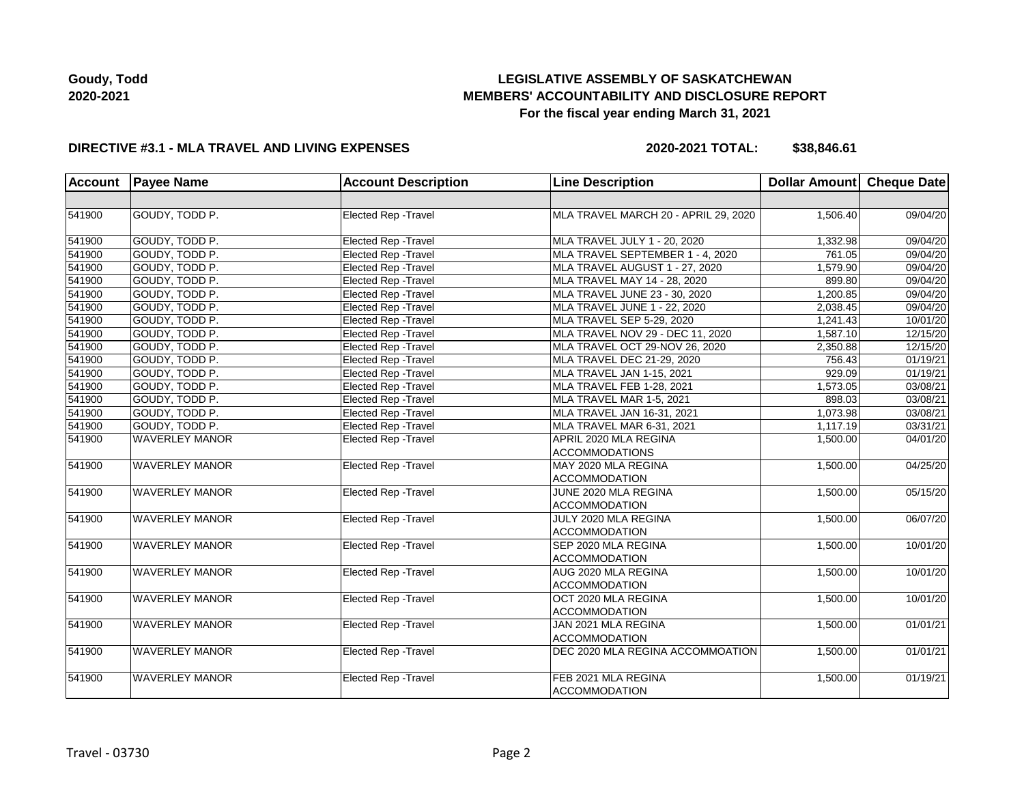# **LEGISLATIVE ASSEMBLY OF SASKATCHEWAN MEMBERS' ACCOUNTABILITY AND DISCLOSURE REPORT For the fiscal year ending March 31, 2021**

### **DIRECTIVE #3.1 - MLA TRAVEL AND LIVING EXPENSES**

**2020-2021 TOTAL: \$38,846.61**

| <b>Account</b> | <b>Payee Name</b>     | <b>Account Description</b>  | <b>Line Description</b>              | Dollar Amount Cheque Date |          |
|----------------|-----------------------|-----------------------------|--------------------------------------|---------------------------|----------|
|                |                       |                             |                                      |                           |          |
| 541900         | GOUDY, TODD P.        | Elected Rep - Travel        | MLA TRAVEL MARCH 20 - APRIL 29, 2020 | 1,506.40                  | 09/04/20 |
| 541900         | GOUDY, TODD P.        | <b>Elected Rep - Travel</b> | MLA TRAVEL JULY 1 - 20, 2020         | 1,332.98                  | 09/04/20 |
| 541900         | GOUDY, TODD P.        | Elected Rep - Travel        | MLA TRAVEL SEPTEMBER 1 - 4, 2020     | 761.05                    | 09/04/20 |
| 541900         | GOUDY, TODD P.        | Elected Rep - Travel        | MLA TRAVEL AUGUST 1 - 27, 2020       | 1,579.90                  | 09/04/20 |
| 541900         | GOUDY, TODD P.        | <b>Elected Rep - Travel</b> | MLA TRAVEL MAY 14 - 28, 2020         | 899.80                    | 09/04/20 |
| 541900         | GOUDY, TODD P.        | Elected Rep - Travel        | MLA TRAVEL JUNE 23 - 30, 2020        | 1,200.85                  | 09/04/20 |
| 541900         | GOUDY, TODD P.        | Elected Rep - Travel        | MLA TRAVEL JUNE 1 - 22, 2020         | 2,038.45                  | 09/04/20 |
| 541900         | GOUDY, TODD P.        | Elected Rep - Travel        | MLA TRAVEL SEP 5-29, 2020            | 1,241.43                  | 10/01/20 |
| 541900         | GOUDY, TODD P.        | Elected Rep - Travel        | MLA TRAVEL NOV 29 - DEC 11, 2020     | 1,587.10                  | 12/15/20 |
| 541900         | GOUDY, TODD P.        | <b>Elected Rep - Travel</b> | MLA TRAVEL OCT 29-NOV 26, 2020       | 2,350.88                  | 12/15/20 |
| 541900         | GOUDY, TODD P.        | <b>Elected Rep - Travel</b> | MLA TRAVEL DEC 21-29, 2020           | 756.43                    | 01/19/21 |
| 541900         | GOUDY, TODD P.        | <b>Elected Rep - Travel</b> | MLA TRAVEL JAN 1-15, 2021            | 929.09                    | 01/19/21 |
| 541900         | GOUDY. TODD P.        | Elected Rep - Travel        | MLA TRAVEL FEB 1-28, 2021            | 1,573.05                  | 03/08/21 |
| 541900         | GOUDY, TODD P.        | Elected Rep - Travel        | MLA TRAVEL MAR 1-5, 2021             | 898.03                    | 03/08/21 |
| 541900         | GOUDY, TODD P.        | Elected Rep - Travel        | MLA TRAVEL JAN 16-31, 2021           | 1,073.98                  | 03/08/21 |
| 541900         | GOUDY, TODD P.        | <b>Elected Rep - Travel</b> | MLA TRAVEL MAR 6-31, 2021            | 1,117.19                  | 03/31/21 |
| 541900         | <b>WAVERLEY MANOR</b> | Elected Rep - Travel        | APRIL 2020 MLA REGINA                | 1,500.00                  | 04/01/20 |
|                |                       |                             | <b>ACCOMMODATIONS</b>                |                           |          |
| 541900         | <b>WAVERLEY MANOR</b> | Elected Rep - Travel        | MAY 2020 MLA REGINA                  | 1,500.00                  | 04/25/20 |
|                |                       |                             | <b>ACCOMMODATION</b>                 |                           |          |
| 541900         | <b>WAVERLEY MANOR</b> | Elected Rep - Travel        | JUNE 2020 MLA REGINA                 | 1,500.00                  | 05/15/20 |
|                |                       |                             | <b>ACCOMMODATION</b>                 |                           |          |
| 541900         | <b>WAVERLEY MANOR</b> | Elected Rep - Travel        | JULY 2020 MLA REGINA                 | 1,500.00                  | 06/07/20 |
|                |                       |                             | <b>ACCOMMODATION</b>                 |                           |          |
| 541900         | <b>WAVERLEY MANOR</b> | Elected Rep - Travel        | SEP 2020 MLA REGINA                  | 1,500.00                  | 10/01/20 |
|                |                       |                             | <b>ACCOMMODATION</b>                 |                           |          |
| 541900         | <b>WAVERLEY MANOR</b> | <b>Elected Rep - Travel</b> | AUG 2020 MLA REGINA                  | 1,500.00                  | 10/01/20 |
|                |                       |                             | <b>ACCOMMODATION</b>                 |                           |          |
| 541900         | <b>WAVERLEY MANOR</b> | <b>Elected Rep - Travel</b> | OCT 2020 MLA REGINA                  | 1,500.00                  | 10/01/20 |
|                |                       |                             | <b>ACCOMMODATION</b>                 |                           |          |
| 541900         | <b>WAVERLEY MANOR</b> | Elected Rep - Travel        | JAN 2021 MLA REGINA                  | 1,500.00                  | 01/01/21 |
|                |                       |                             | <b>ACCOMMODATION</b>                 |                           |          |
| 541900         | <b>WAVERLEY MANOR</b> | <b>Elected Rep - Travel</b> | DEC 2020 MLA REGINA ACCOMMOATION     | 1,500.00                  | 01/01/21 |
|                |                       |                             |                                      |                           |          |
| 541900         | <b>WAVERLEY MANOR</b> | Elected Rep - Travel        | FEB 2021 MLA REGINA                  | 1,500.00                  | 01/19/21 |
|                |                       |                             | <b>ACCOMMODATION</b>                 |                           |          |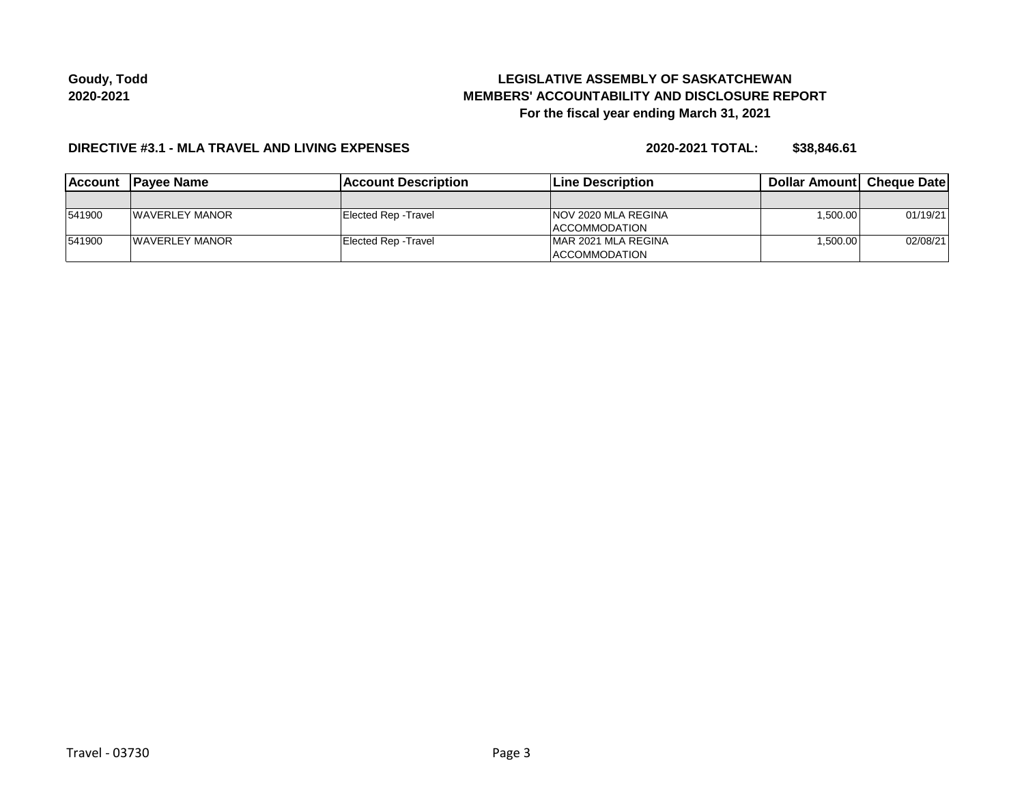# **LEGISLATIVE ASSEMBLY OF SASKATCHEWAN MEMBERS' ACCOUNTABILITY AND DISCLOSURE REPORT For the fiscal year ending March 31, 2021**

#### **DIRECTIVE #3.1 - MLA TRAVEL AND LIVING EXPENSES**

**2020-2021 TOTAL: \$38,846.61**

| <b>IAccount</b> | <b>IPavee Name</b>     | <b>IAccount Description</b> | <b>Line Description</b>     | <b>Dollar Amountl Cheque Date</b> |          |
|-----------------|------------------------|-----------------------------|-----------------------------|-----------------------------------|----------|
|                 |                        |                             |                             |                                   |          |
| 541900          | <b>IWAVERLEY MANOR</b> | Elected Rep - Travel        | <b>INOV 2020 MLA REGINA</b> | 1,500.00                          | 01/19/21 |
|                 |                        |                             | <b>ACCOMMODATION</b>        |                                   |          |
| 541900          | <b>IWAVERLEY MANOR</b> | Elected Rep - Travel        | IMAR 2021 MLA REGINA        | 1.500.00                          | 02/08/21 |
|                 |                        |                             | <b>ACCOMMODATION</b>        |                                   |          |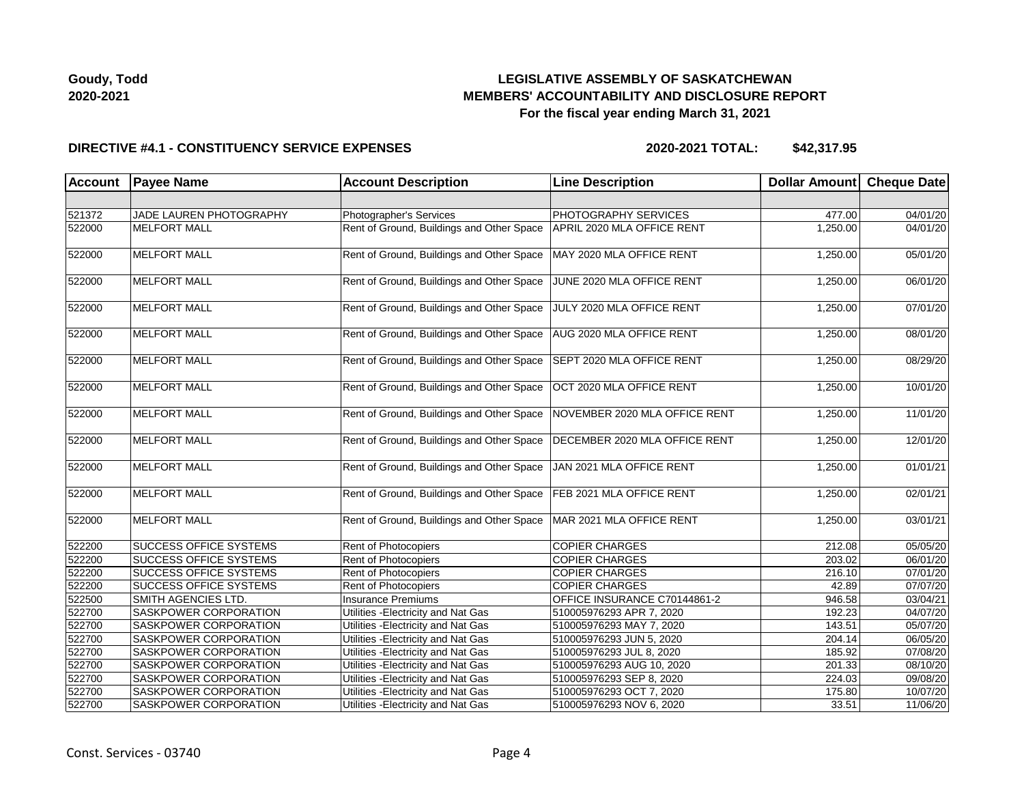

#### **DIRECTIVE #4.1 - CONSTITUENCY SERVICE EXPENSES**

| <b>Account</b> | <b>Payee Name</b>             | <b>Account Description</b>                | <b>Line Description</b>       | Dollar Amount Cheque Date |                       |
|----------------|-------------------------------|-------------------------------------------|-------------------------------|---------------------------|-----------------------|
|                |                               |                                           |                               |                           |                       |
| 521372         | JADE LAUREN PHOTOGRAPHY       | Photographer's Services                   | <b>PHOTOGRAPHY SERVICES</b>   | 477.00                    | 04/01/20              |
| 522000         | <b>MELFORT MALL</b>           | Rent of Ground, Buildings and Other Space | APRIL 2020 MLA OFFICE RENT    | 1,250.00                  | 04/01/20              |
| 522000         | <b>MELFORT MALL</b>           | Rent of Ground, Buildings and Other Space | MAY 2020 MLA OFFICE RENT      | 1,250.00                  | 05/01/20              |
| 522000         | <b>MELFORT MALL</b>           | Rent of Ground, Buildings and Other Space | JUNE 2020 MLA OFFICE RENT     | 1,250.00                  | 06/01/20              |
| 522000         | <b>MELFORT MALL</b>           | Rent of Ground, Buildings and Other Space | JULY 2020 MLA OFFICE RENT     | 1,250.00                  | 07/01/20              |
| 522000         | <b>MELFORT MALL</b>           | Rent of Ground, Buildings and Other Space | AUG 2020 MLA OFFICE RENT      | 1,250.00                  | 08/01/20              |
| 522000         | <b>MELFORT MALL</b>           | Rent of Ground, Buildings and Other Space | SEPT 2020 MLA OFFICE RENT     | 1,250.00                  | 08/29/20              |
| 522000         | <b>MELFORT MALL</b>           | Rent of Ground, Buildings and Other Space | OCT 2020 MLA OFFICE RENT      | 1,250.00                  | 10/01/20              |
| 522000         | <b>MELFORT MALL</b>           | Rent of Ground, Buildings and Other Space | NOVEMBER 2020 MLA OFFICE RENT | 1,250.00                  | 11/01/20              |
| 522000         | <b>MELFORT MALL</b>           | Rent of Ground, Buildings and Other Space | DECEMBER 2020 MLA OFFICE RENT | 1,250.00                  | 12/01/20              |
| 522000         | <b>MELFORT MALL</b>           | Rent of Ground, Buildings and Other Space | JAN 2021 MLA OFFICE RENT      | 1,250.00                  | 01/01/21              |
| 522000         | <b>MELFORT MALL</b>           | Rent of Ground, Buildings and Other Space | FEB 2021 MLA OFFICE RENT      | 1,250.00                  | 02/01/21              |
| 522000         | <b>MELFORT MALL</b>           | Rent of Ground, Buildings and Other Space | MAR 2021 MLA OFFICE RENT      | 1,250.00                  | 03/01/21              |
| 522200         | <b>SUCCESS OFFICE SYSTEMS</b> | Rent of Photocopiers                      | <b>COPIER CHARGES</b>         | 212.08                    | 05/05/20              |
| 522200         | <b>SUCCESS OFFICE SYSTEMS</b> | Rent of Photocopiers                      | <b>COPIER CHARGES</b>         | 203.02                    | 06/01/20              |
| 522200         | <b>SUCCESS OFFICE SYSTEMS</b> | <b>Rent of Photocopiers</b>               | <b>COPIER CHARGES</b>         | 216.10                    | 07/01/20              |
| 522200         | <b>SUCCESS OFFICE SYSTEMS</b> | Rent of Photocopiers                      | <b>COPIER CHARGES</b>         | 42.89                     | 07/07/20              |
| 522500         | <b>SMITH AGENCIES LTD.</b>    | Insurance Premiums                        | OFFICE INSURANCE C70144861-2  | 946.58                    | 03/04/21              |
| 522700         | <b>SASKPOWER CORPORATION</b>  | Utilities - Electricity and Nat Gas       | 510005976293 APR 7, 2020      | 192.23                    | 04/07/20              |
| 522700         | SASKPOWER CORPORATION         | Utilities - Electricity and Nat Gas       | 510005976293 MAY 7, 2020      | 143.51                    | $\overline{05/07/20}$ |
| 522700         | SASKPOWER CORPORATION         | Utilities - Electricity and Nat Gas       | 510005976293 JUN 5, 2020      | 204.14                    | 06/05/20              |
| 522700         | <b>SASKPOWER CORPORATION</b>  | Utilities - Electricity and Nat Gas       | 510005976293 JUL 8, 2020      | 185.92                    | 07/08/20              |
| 522700         | SASKPOWER CORPORATION         | Utilities - Electricity and Nat Gas       | 510005976293 AUG 10, 2020     | 201.33                    | 08/10/20              |
| 522700         | SASKPOWER CORPORATION         | Utilities - Electricity and Nat Gas       | 510005976293 SEP 8, 2020      | 224.03                    | 09/08/20              |
| 522700         | SASKPOWER CORPORATION         | Utilities - Electricity and Nat Gas       | 510005976293 OCT 7, 2020      | 175.80                    | 10/07/20              |
| 522700         | SASKPOWER CORPORATION         | Utilities - Electricity and Nat Gas       | 510005976293 NOV 6, 2020      | 33.51                     | 11/06/20              |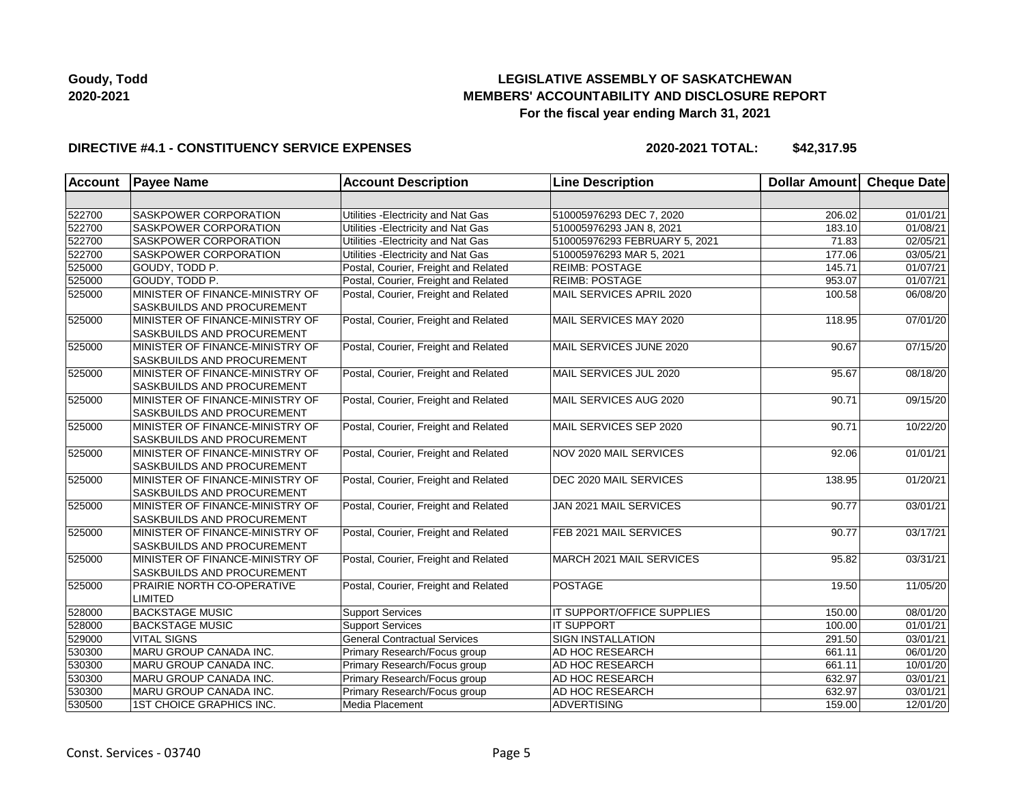## **LEGISLATIVE ASSEMBLY OF SASKATCHEWAN MEMBERS' ACCOUNTABILITY AND DISCLOSURE REPORT For the fiscal year ending March 31, 2021**

### **DIRECTIVE #4.1 - CONSTITUENCY SERVICE EXPENSES**

| Account | <b>Payee Name</b>                                                    | <b>Account Description</b>           | <b>Line Description</b>       | Dollar Amount Cheque Date |          |
|---------|----------------------------------------------------------------------|--------------------------------------|-------------------------------|---------------------------|----------|
|         |                                                                      |                                      |                               |                           |          |
| 522700  | <b>SASKPOWER CORPORATION</b>                                         | Utilities - Electricity and Nat Gas  | 510005976293 DEC 7, 2020      | 206.02                    | 01/01/21 |
| 522700  | <b>SASKPOWER CORPORATION</b>                                         | Utilities - Electricity and Nat Gas  | 510005976293 JAN 8, 2021      | 183.10                    | 01/08/21 |
| 522700  | <b>SASKPOWER CORPORATION</b>                                         | Utilities - Electricity and Nat Gas  | 510005976293 FEBRUARY 5, 2021 | 71.83                     | 02/05/21 |
| 522700  | <b>SASKPOWER CORPORATION</b>                                         | Utilities - Electricity and Nat Gas  | 510005976293 MAR 5, 2021      | 177.06                    | 03/05/21 |
| 525000  | GOUDY, TODD P.                                                       | Postal, Courier, Freight and Related | <b>REIMB: POSTAGE</b>         | 145.71                    | 01/07/21 |
| 525000  | GOUDY. TODD P.                                                       | Postal, Courier, Freight and Related | <b>REIMB: POSTAGE</b>         | 953.07                    | 01/07/21 |
| 525000  | MINISTER OF FINANCE-MINISTRY OF<br>SASKBUILDS AND PROCUREMENT        | Postal, Courier, Freight and Related | MAIL SERVICES APRIL 2020      | 100.58                    | 06/08/20 |
| 525000  | MINISTER OF FINANCE-MINISTRY OF<br><b>SASKBUILDS AND PROCUREMENT</b> | Postal, Courier, Freight and Related | MAIL SERVICES MAY 2020        | 118.95                    | 07/01/20 |
| 525000  | MINISTER OF FINANCE-MINISTRY OF<br>SASKBUILDS AND PROCUREMENT        | Postal, Courier, Freight and Related | MAIL SERVICES JUNE 2020       | 90.67                     | 07/15/20 |
| 525000  | MINISTER OF FINANCE-MINISTRY OF<br><b>SASKBUILDS AND PROCUREMENT</b> | Postal, Courier, Freight and Related | MAIL SERVICES JUL 2020        | 95.67                     | 08/18/20 |
| 525000  | MINISTER OF FINANCE-MINISTRY OF<br><b>SASKBUILDS AND PROCUREMENT</b> | Postal, Courier, Freight and Related | MAIL SERVICES AUG 2020        | 90.71                     | 09/15/20 |
| 525000  | MINISTER OF FINANCE-MINISTRY OF<br>SASKBUILDS AND PROCUREMENT        | Postal, Courier, Freight and Related | MAIL SERVICES SEP 2020        | 90.71                     | 10/22/20 |
| 525000  | MINISTER OF FINANCE-MINISTRY OF<br>SASKBUILDS AND PROCUREMENT        | Postal, Courier, Freight and Related | NOV 2020 MAIL SERVICES        | 92.06                     | 01/01/21 |
| 525000  | MINISTER OF FINANCE-MINISTRY OF<br><b>SASKBUILDS AND PROCUREMENT</b> | Postal, Courier, Freight and Related | DEC 2020 MAIL SERVICES        | 138.95                    | 01/20/21 |
| 525000  | MINISTER OF FINANCE-MINISTRY OF<br>SASKBUILDS AND PROCUREMENT        | Postal, Courier, Freight and Related | JAN 2021 MAIL SERVICES        | 90.77                     | 03/01/21 |
| 525000  | MINISTER OF FINANCE-MINISTRY OF<br><b>SASKBUILDS AND PROCUREMENT</b> | Postal, Courier, Freight and Related | FEB 2021 MAIL SERVICES        | 90.77                     | 03/17/21 |
| 525000  | MINISTER OF FINANCE-MINISTRY OF<br><b>SASKBUILDS AND PROCUREMENT</b> | Postal, Courier, Freight and Related | MARCH 2021 MAIL SERVICES      | 95.82                     | 03/31/21 |
| 525000  | PRAIRIE NORTH CO-OPERATIVE<br>LIMITED                                | Postal, Courier, Freight and Related | <b>POSTAGE</b>                | 19.50                     | 11/05/20 |
| 528000  | <b>BACKSTAGE MUSIC</b>                                               | <b>Support Services</b>              | IT SUPPORT/OFFICE SUPPLIES    | 150.00                    | 08/01/20 |
| 528000  | <b>BACKSTAGE MUSIC</b>                                               | <b>Support Services</b>              | <b>IT SUPPORT</b>             | 100.00                    | 01/01/21 |
| 529000  | <b>VITAL SIGNS</b>                                                   | <b>General Contractual Services</b>  | <b>SIGN INSTALLATION</b>      | 291.50                    | 03/01/21 |
| 530300  | MARU GROUP CANADA INC.                                               | Primary Research/Focus group         | AD HOC RESEARCH               | 661.11                    | 06/01/20 |
| 530300  | MARU GROUP CANADA INC.                                               | Primary Research/Focus group         | AD HOC RESEARCH               | 661.11                    | 10/01/20 |
| 530300  | MARU GROUP CANADA INC.                                               | Primary Research/Focus group         | AD HOC RESEARCH               | 632.97                    | 03/01/21 |
| 530300  | MARU GROUP CANADA INC.                                               | Primary Research/Focus group         | AD HOC RESEARCH               | 632.97                    | 03/01/21 |
| 530500  | 1ST CHOICE GRAPHICS INC.                                             | Media Placement                      | <b>ADVERTISING</b>            | 159.00                    | 12/01/20 |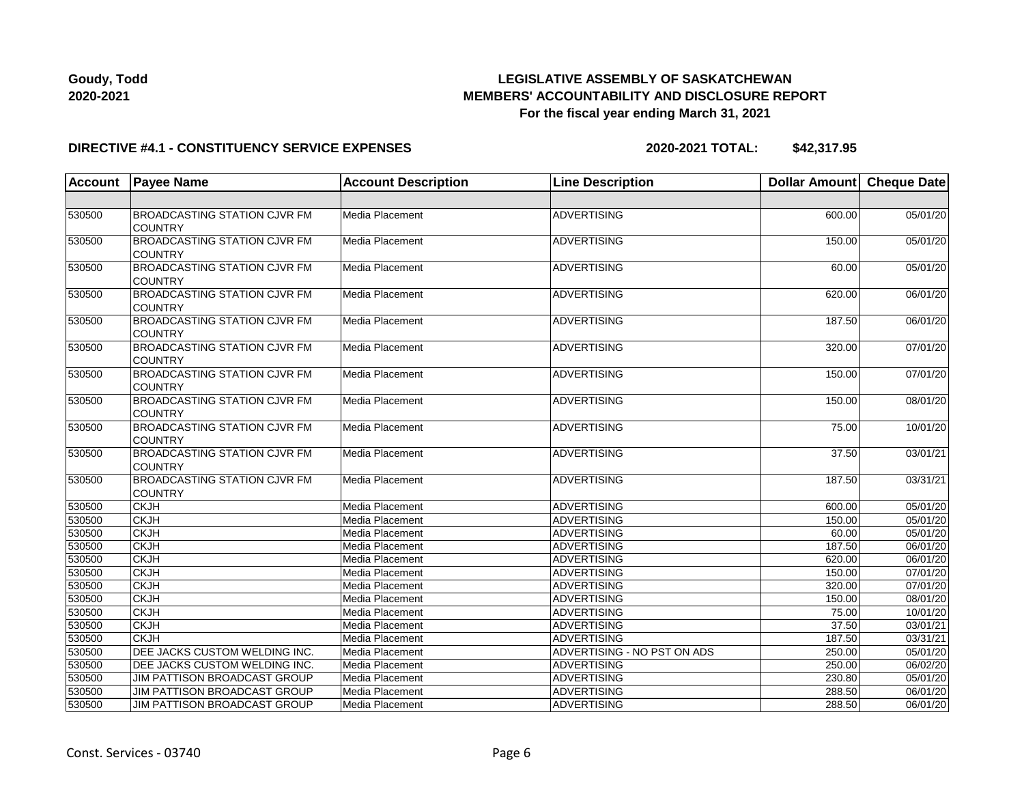

#### **DIRECTIVE #4.1 - CONSTITUENCY SERVICE EXPENSES**

| <b>Account</b> | <b>Payee Name</b>                                     | <b>Account Description</b> | <b>Line Description</b>     | Dollar Amount Cheque Date |                       |
|----------------|-------------------------------------------------------|----------------------------|-----------------------------|---------------------------|-----------------------|
|                |                                                       |                            |                             |                           |                       |
| 530500         | <b>BROADCASTING STATION CJVR FM</b><br><b>COUNTRY</b> | Media Placement            | <b>ADVERTISING</b>          | 600.00                    | 05/01/20              |
| 530500         | <b>BROADCASTING STATION CJVR FM</b><br><b>COUNTRY</b> | <b>Media Placement</b>     | ADVERTISING                 | 150.00                    | 05/01/20              |
| 530500         | <b>BROADCASTING STATION CJVR FM</b><br><b>COUNTRY</b> | Media Placement            | <b>ADVERTISING</b>          | 60.00                     | 05/01/20              |
| 530500         | <b>BROADCASTING STATION CJVR FM</b><br><b>COUNTRY</b> | Media Placement            | <b>ADVERTISING</b>          | 620.00                    | 06/01/20              |
| 530500         | <b>BROADCASTING STATION CJVR FM</b><br><b>COUNTRY</b> | Media Placement            | <b>ADVERTISING</b>          | 187.50                    | 06/01/20              |
| 530500         | <b>BROADCASTING STATION CJVR FM</b><br><b>COUNTRY</b> | Media Placement            | <b>ADVERTISING</b>          | 320.00                    | 07/01/20              |
| 530500         | BROADCASTING STATION CJVR FM<br><b>COUNTRY</b>        | Media Placement            | <b>ADVERTISING</b>          | 150.00                    | 07/01/20              |
| 530500         | <b>BROADCASTING STATION CJVR FM</b><br><b>COUNTRY</b> | Media Placement            | ADVERTISING                 | 150.00                    | 08/01/20              |
| 530500         | <b>BROADCASTING STATION CJVR FM</b><br><b>COUNTRY</b> | Media Placement            | <b>ADVERTISING</b>          | 75.00                     | 10/01/20              |
| 530500         | <b>BROADCASTING STATION CJVR FM</b><br><b>COUNTRY</b> | Media Placement            | <b>ADVERTISING</b>          | $\overline{37.50}$        | 03/01/21              |
| 530500         | <b>BROADCASTING STATION CJVR FM</b><br><b>COUNTRY</b> | Media Placement            | <b>ADVERTISING</b>          | 187.50                    | 03/31/21              |
| 530500         | <b>CKJH</b>                                           | Media Placement            | <b>ADVERTISING</b>          | 600.00                    | 05/01/20              |
| 530500         | <b>CKJH</b>                                           | Media Placement            | <b>ADVERTISING</b>          | 150.00                    | 05/01/20              |
| 530500         | <b>CKJH</b>                                           | Media Placement            | <b>ADVERTISING</b>          | 60.00                     | 05/01/20              |
| 530500         | <b>CKJH</b>                                           | Media Placement            | ADVERTISING                 | 187.50                    | 06/01/20              |
| 530500         | <b>CKJH</b>                                           | Media Placement            | ADVERTISING                 | 620.00                    | 06/01/20              |
| 530500         | <b>CKJH</b>                                           | Media Placement            | ADVERTISING                 | 150.00                    | 07/01/20              |
| 530500         | <b>CKJH</b>                                           | Media Placement            | <b>ADVERTISING</b>          | 320.00                    | $\overline{07/01/20}$ |
| 530500         | <b>CKJH</b>                                           | Media Placement            | <b>ADVERTISING</b>          | 150.00                    | 08/01/20              |
| 530500         | <b>CKJH</b>                                           | Media Placement            | <b>ADVERTISING</b>          | 75.00                     | 10/01/20              |
| 530500         | <b>CKJH</b>                                           | Media Placement            | <b>ADVERTISING</b>          | 37.50                     | 03/01/21              |
| 530500         | <b>CKJH</b>                                           | Media Placement            | ADVERTISING                 | 187.50                    | 03/31/21              |
| 530500         | DEE JACKS CUSTOM WELDING INC.                         | Media Placement            | ADVERTISING - NO PST ON ADS | 250.00                    | 05/01/20              |
| 530500         | DEE JACKS CUSTOM WELDING INC.                         | Media Placement            | <b>ADVERTISING</b>          | 250.00                    | 06/02/20              |
| 530500         | JIM PATTISON BROADCAST GROUP                          | Media Placement            | <b>ADVERTISING</b>          | 230.80                    | 05/01/20              |
| 530500         | JIM PATTISON BROADCAST GROUP                          | Media Placement            | <b>ADVERTISING</b>          | 288.50                    | 06/01/20              |
| 530500         | JIM PATTISON BROADCAST GROUP                          | Media Placement            | ADVERTISING                 | 288.50                    | 06/01/20              |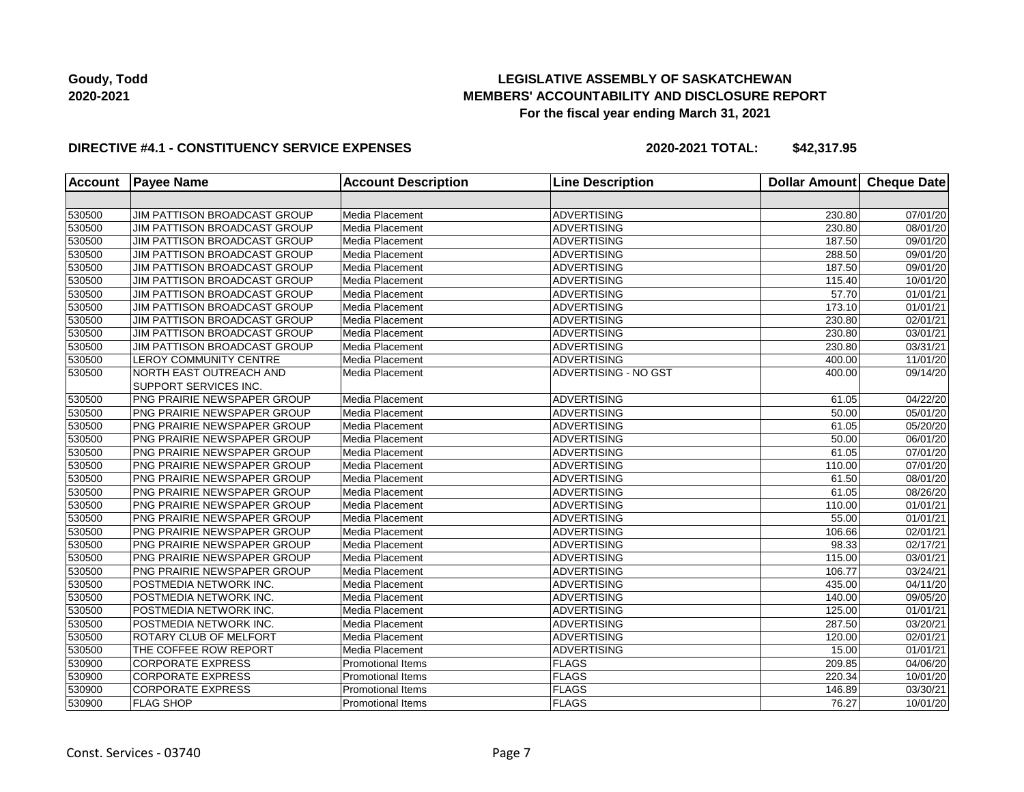## **LEGISLATIVE ASSEMBLY OF SASKATCHEWAN MEMBERS' ACCOUNTABILITY AND DISCLOSURE REPORT For the fiscal year ending March 31, 2021**

### **DIRECTIVE #4.1 - CONSTITUENCY SERVICE EXPENSES**

| <b>Account</b> | <b>Payee Name</b>                  | <b>Account Description</b> | <b>Line Description</b> | <b>Dollar Amount</b> | <b>Cheque Date</b>    |
|----------------|------------------------------------|----------------------------|-------------------------|----------------------|-----------------------|
|                |                                    |                            |                         |                      |                       |
| 530500         | JIM PATTISON BROADCAST GROUP       | Media Placement            | <b>ADVERTISING</b>      | 230.80               | 07/01/20              |
| 530500         | JIM PATTISON BROADCAST GROUP       | Media Placement            | <b>ADVERTISING</b>      | 230.80               | 08/01/20              |
| 530500         | JIM PATTISON BROADCAST GROUP       | Media Placement            | <b>ADVERTISING</b>      | 187.50               | 09/01/20              |
| 530500         | JIM PATTISON BROADCAST GROUP       | Media Placement            | ADVERTISING             | 288.50               | 09/01/20              |
| 530500         | JIM PATTISON BROADCAST GROUP       | Media Placement            | <b>ADVERTISING</b>      | 187.50               | 09/01/20              |
| 530500         | JIM PATTISON BROADCAST GROUP       | Media Placement            | <b>ADVERTISING</b>      | 115.40               | 10/01/20              |
| 530500         | JIM PATTISON BROADCAST GROUP       | Media Placement            | <b>ADVERTISING</b>      | 57.70                | 01/01/21              |
| 530500         | JIM PATTISON BROADCAST GROUP       | Media Placement            | <b>ADVERTISING</b>      | 173.10               | 01/01/21              |
| 530500         | JIM PATTISON BROADCAST GROUP       | Media Placement            | <b>ADVERTISING</b>      | 230.80               | 02/01/21              |
| 530500         | JIM PATTISON BROADCAST GROUP       | Media Placement            | ADVERTISING             | 230.80               | 03/01/21              |
| 530500         | JIM PATTISON BROADCAST GROUP       | Media Placement            | <b>ADVERTISING</b>      | 230.80               | 03/31/21              |
| 530500         | <b>LEROY COMMUNITY CENTRE</b>      | Media Placement            | <b>ADVERTISING</b>      | 400.00               | 11/01/20              |
| 530500         | NORTH EAST OUTREACH AND            | Media Placement            | ADVERTISING - NO GST    | 400.00               | 09/14/20              |
|                | SUPPORT SERVICES INC.              |                            |                         |                      |                       |
| 530500         | PNG PRAIRIE NEWSPAPER GROUP        | Media Placement            | ADVERTISING             | 61.05                | 04/22/20              |
| 530500         | PNG PRAIRIE NEWSPAPER GROUP        | Media Placement            | ADVERTISING             | 50.00                | 05/01/20              |
| 530500         | <b>PNG PRAIRIE NEWSPAPER GROUP</b> | Media Placement            | <b>ADVERTISING</b>      | 61.05                | 05/20/20              |
| 530500         | PNG PRAIRIE NEWSPAPER GROUP        | Media Placement            | <b>ADVERTISING</b>      | 50.00                | 06/01/20              |
| 530500         | PNG PRAIRIE NEWSPAPER GROUP        | Media Placement            | <b>ADVERTISING</b>      | 61.05                | 07/01/20              |
| 530500         | <b>PNG PRAIRIE NEWSPAPER GROUP</b> | Media Placement            | <b>ADVERTISING</b>      | 110.00               | 07/01/20              |
| 530500         | <b>PNG PRAIRIE NEWSPAPER GROUP</b> | Media Placement            | <b>ADVERTISING</b>      | 61.50                | 08/01/20              |
| 530500         | <b>PNG PRAIRIE NEWSPAPER GROUP</b> | Media Placement            | <b>ADVERTISING</b>      | 61.05                | 08/26/20              |
| 530500         | PNG PRAIRIE NEWSPAPER GROUP        | Media Placement            | <b>ADVERTISING</b>      | 110.00               | 01/01/21              |
| 530500         | <b>PNG PRAIRIE NEWSPAPER GROUP</b> | Media Placement            | <b>ADVERTISING</b>      | 55.00                | 01/01/21              |
| 530500         | PNG PRAIRIE NEWSPAPER GROUP        | Media Placement            | <b>ADVERTISING</b>      | 106.66               | 02/01/21              |
| 530500         | PNG PRAIRIE NEWSPAPER GROUP        | Media Placement            | ADVERTISING             | 98.33                | 02/17/21              |
| 530500         | PNG PRAIRIE NEWSPAPER GROUP        | Media Placement            | ADVERTISING             | 115.00               | 03/01/21              |
| 530500         | PNG PRAIRIE NEWSPAPER GROUP        | Media Placement            | <b>ADVERTISING</b>      | 106.77               | 03/24/21              |
| 530500         | POSTMEDIA NETWORK INC.             | Media Placement            | <b>ADVERTISING</b>      | 435.00               | 04/11/20              |
| 530500         | POSTMEDIA NETWORK INC.             | Media Placement            | <b>ADVERTISING</b>      | 140.00               | 09/05/20              |
| 530500         | POSTMEDIA NETWORK INC.             | Media Placement            | <b>ADVERTISING</b>      | 125.00               | $\overline{01}/01/21$ |
| 530500         | POSTMEDIA NETWORK INC.             | Media Placement            | <b>ADVERTISING</b>      | 287.50               | 03/20/21              |
| 530500         | <b>ROTARY CLUB OF MELFORT</b>      | Media Placement            | <b>ADVERTISING</b>      | 120.00               | 02/01/21              |
| 530500         | THE COFFEE ROW REPORT              | Media Placement            | <b>ADVERTISING</b>      | 15.00                | 01/01/21              |
| 530900         | <b>CORPORATE EXPRESS</b>           | <b>Promotional Items</b>   | <b>FLAGS</b>            | 209.85               | 04/06/20              |
| 530900         | <b>CORPORATE EXPRESS</b>           | <b>Promotional Items</b>   | <b>FLAGS</b>            | 220.34               | 10/01/20              |
| 530900         | <b>CORPORATE EXPRESS</b>           | <b>Promotional Items</b>   | <b>FLAGS</b>            | 146.89               | 03/30/21              |
| 530900         | <b>FLAG SHOP</b>                   | <b>Promotional Items</b>   | FLAGS                   | 76.27                | 10/01/20              |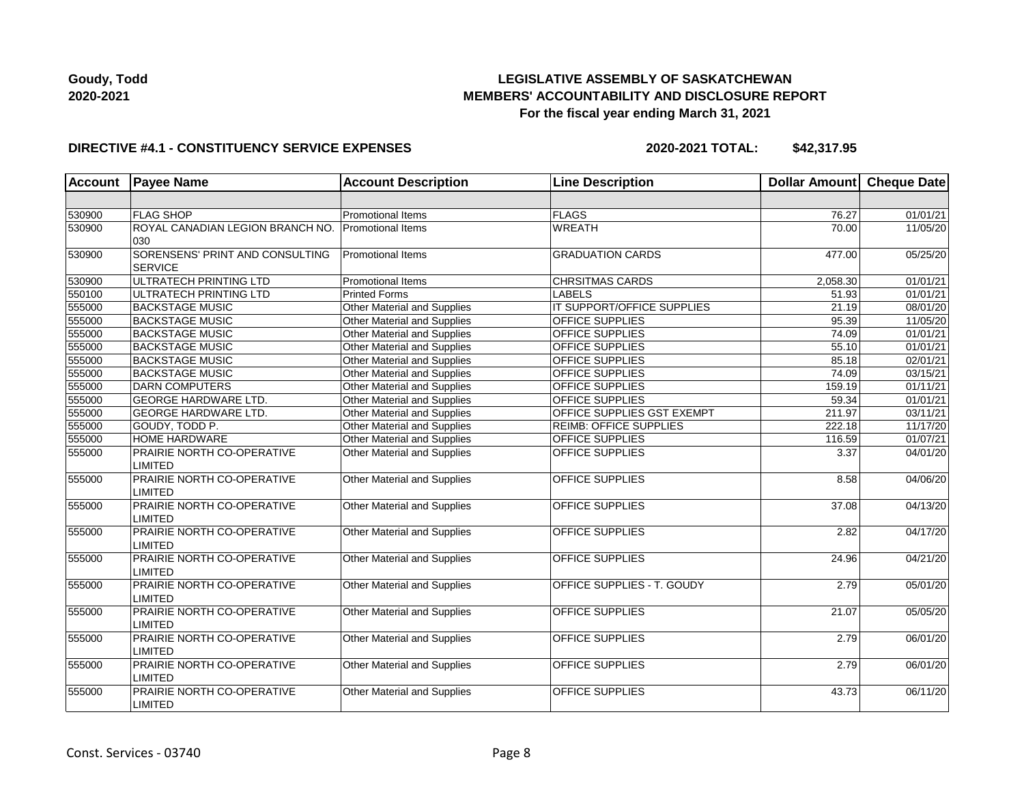

#### **DIRECTIVE #4.1 - CONSTITUENCY SERVICE EXPENSES**

| Account | <b>Payee Name</b>                                 | <b>Account Description</b>  | <b>Line Description</b>           | <b>Dollar Amount</b> | Cheque Date           |
|---------|---------------------------------------------------|-----------------------------|-----------------------------------|----------------------|-----------------------|
|         |                                                   |                             |                                   |                      |                       |
| 530900  | <b>FLAG SHOP</b>                                  | <b>Promotional Items</b>    | FLAGS                             | 76.27                | 01/01/21              |
| 530900  | ROYAL CANADIAN LEGION BRANCH NO.<br>030           | Promotional Items           | <b>WREATH</b>                     | 70.00                | 11/05/20              |
| 530900  | SORENSENS' PRINT AND CONSULTING<br><b>SERVICE</b> | Promotional Items           | <b>GRADUATION CARDS</b>           | 477.00               | 05/25/20              |
| 530900  | <b>ULTRATECH PRINTING LTD</b>                     | Promotional Items           | <b>CHRSITMAS CARDS</b>            | 2,058.30             | 01/01/21              |
| 550100  | ULTRATECH PRINTING LTD                            | <b>Printed Forms</b>        | <b>LABELS</b>                     | 51.93                | $\overline{01}/01/21$ |
| 555000  | <b>BACKSTAGE MUSIC</b>                            | Other Material and Supplies | IT SUPPORT/OFFICE SUPPLIES        | 21.19                | 08/01/20              |
| 555000  | <b>BACKSTAGE MUSIC</b>                            | Other Material and Supplies | OFFICE SUPPLIES                   | 95.39                | 11/05/20              |
| 555000  | <b>BACKSTAGE MUSIC</b>                            | Other Material and Supplies | OFFICE SUPPLIES                   | 74.09                | 01/01/21              |
| 555000  | <b>BACKSTAGE MUSIC</b>                            | Other Material and Supplies | <b>OFFICE SUPPLIES</b>            | 55.10                | 01/01/21              |
| 555000  | <b>BACKSTAGE MUSIC</b>                            | Other Material and Supplies | OFFICE SUPPLIES                   | 85.18                | 02/01/21              |
| 555000  | <b>BACKSTAGE MUSIC</b>                            | Other Material and Supplies | OFFICE SUPPLIES                   | 74.09                | 03/15/21              |
| 555000  | <b>DARN COMPUTERS</b>                             | Other Material and Supplies | <b>OFFICE SUPPLIES</b>            | 159.19               | $\overline{01/11/21}$ |
| 555000  | <b>GEORGE HARDWARE LTD.</b>                       | Other Material and Supplies | <b>OFFICE SUPPLIES</b>            | 59.34                | 01/01/21              |
| 555000  | <b>GEORGE HARDWARE LTD.</b>                       | Other Material and Supplies | <b>OFFICE SUPPLIES GST EXEMPT</b> | 211.97               | 03/11/21              |
| 555000  | GOUDY, TODD P.                                    | Other Material and Supplies | <b>REIMB: OFFICE SUPPLIES</b>     | 222.18               | 11/17/20              |
| 555000  | <b>HOME HARDWARE</b>                              | Other Material and Supplies | <b>OFFICE SUPPLIES</b>            | 116.59               | 01/07/21              |
| 555000  | PRAIRIE NORTH CO-OPERATIVE<br>LIMITED             | Other Material and Supplies | OFFICE SUPPLIES                   | 3.37                 | 04/01/20              |
| 555000  | PRAIRIE NORTH CO-OPERATIVE<br>LIMITED             | Other Material and Supplies | OFFICE SUPPLIES                   | 8.58                 | 04/06/20              |
| 555000  | PRAIRIE NORTH CO-OPERATIVE<br><b>LIMITED</b>      | Other Material and Supplies | <b>OFFICE SUPPLIES</b>            | 37.08                | 04/13/20              |
| 555000  | PRAIRIE NORTH CO-OPERATIVE<br>LIMITED             | Other Material and Supplies | <b>OFFICE SUPPLIES</b>            | 2.82                 | 04/17/20              |
| 555000  | PRAIRIE NORTH CO-OPERATIVE<br><b>LIMITED</b>      | Other Material and Supplies | <b>OFFICE SUPPLIES</b>            | 24.96                | 04/21/20              |
| 555000  | PRAIRIE NORTH CO-OPERATIVE<br>LIMITED             | Other Material and Supplies | OFFICE SUPPLIES - T. GOUDY        | 2.79                 | 05/01/20              |
| 555000  | PRAIRIE NORTH CO-OPERATIVE<br>LIMITED             | Other Material and Supplies | <b>OFFICE SUPPLIES</b>            | 21.07                | 05/05/20              |
| 555000  | PRAIRIE NORTH CO-OPERATIVE<br>LIMITED             | Other Material and Supplies | OFFICE SUPPLIES                   | 2.79                 | 06/01/20              |
| 555000  | PRAIRIE NORTH CO-OPERATIVE<br>LIMITED             | Other Material and Supplies | OFFICE SUPPLIES                   | 2.79                 | 06/01/20              |
| 555000  | PRAIRIE NORTH CO-OPERATIVE<br>LIMITED             | Other Material and Supplies | <b>OFFICE SUPPLIES</b>            | 43.73                | 06/11/20              |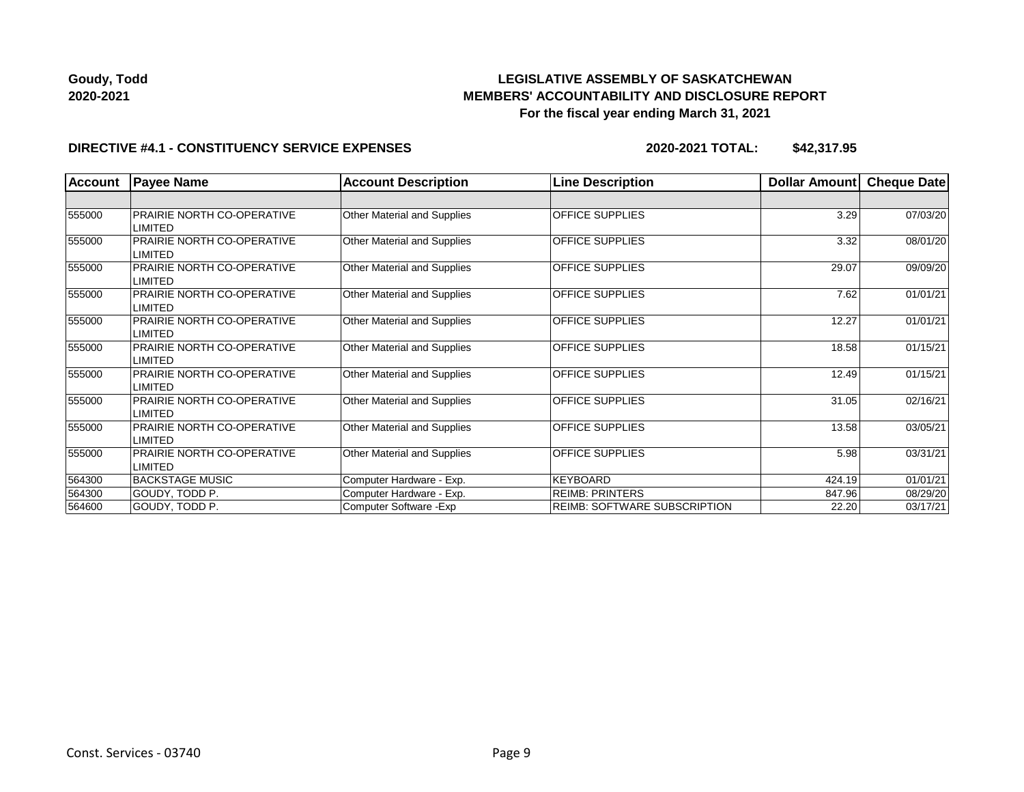

### **DIRECTIVE #4.1 - CONSTITUENCY SERVICE EXPENSES**

| <b>Account</b> | <b>Payee Name</b>                            | <b>Account Description</b>  | <b>Line Description</b>             | Dollar Amount | Cheque Date |
|----------------|----------------------------------------------|-----------------------------|-------------------------------------|---------------|-------------|
|                |                                              |                             |                                     |               |             |
| 555000         | PRAIRIE NORTH CO-OPERATIVE<br>LIMITED        | Other Material and Supplies | <b>OFFICE SUPPLIES</b>              | 3.29          | 07/03/20    |
| 555000         | PRAIRIE NORTH CO-OPERATIVE<br>LIMITED        | Other Material and Supplies | <b>OFFICE SUPPLIES</b>              | 3.32          | 08/01/20    |
| 555000         | PRAIRIE NORTH CO-OPERATIVE<br>LIMITED        | Other Material and Supplies | <b>OFFICE SUPPLIES</b>              | 29.07         | 09/09/20    |
| 555000         | PRAIRIE NORTH CO-OPERATIVE<br>LIMITED        | Other Material and Supplies | <b>OFFICE SUPPLIES</b>              | 7.62          | 01/01/21    |
| 555000         | PRAIRIE NORTH CO-OPERATIVE<br>LIMITED        | Other Material and Supplies | <b>OFFICE SUPPLIES</b>              | 12.27         | 01/01/21    |
| 555000         | PRAIRIE NORTH CO-OPERATIVE<br>LIMITED        | Other Material and Supplies | <b>OFFICE SUPPLIES</b>              | 18.58         | 01/15/21    |
| 555000         | <b>PRAIRIE NORTH CO-OPERATIVE</b><br>LIMITED | Other Material and Supplies | <b>OFFICE SUPPLIES</b>              | 12.49         | 01/15/21    |
| 555000         | <b>PRAIRIE NORTH CO-OPERATIVE</b><br>LIMITED | Other Material and Supplies | <b>OFFICE SUPPLIES</b>              | 31.05         | 02/16/21    |
| 555000         | <b>PRAIRIE NORTH CO-OPERATIVE</b><br>LIMITED | Other Material and Supplies | <b>OFFICE SUPPLIES</b>              | 13.58         | 03/05/21    |
| 555000         | PRAIRIE NORTH CO-OPERATIVE<br>LIMITED        | Other Material and Supplies | <b>OFFICE SUPPLIES</b>              | 5.98          | 03/31/21    |
| 564300         | <b>BACKSTAGE MUSIC</b>                       | Computer Hardware - Exp.    | KEYBOARD                            | 424.19        | 01/01/21    |
| 564300         | GOUDY, TODD P.                               | Computer Hardware - Exp.    | <b>REIMB: PRINTERS</b>              | 847.96        | 08/29/20    |
| 564600         | GOUDY, TODD P.                               | Computer Software - Exp     | <b>REIMB: SOFTWARE SUBSCRIPTION</b> | 22.20         | 03/17/21    |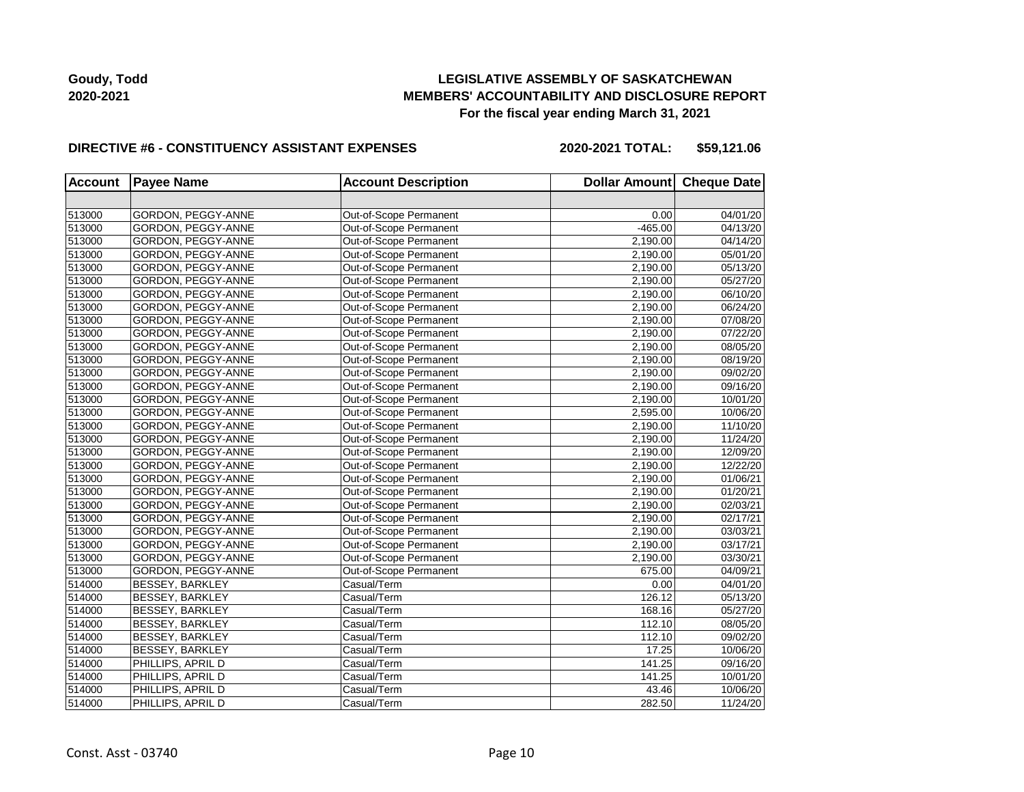## **LEGISLATIVE ASSEMBLY OF SASKATCHEWAN MEMBERS' ACCOUNTABILITY AND DISCLOSURE REPORT For the fiscal year ending March 31, 2021**

#### **DIRECTIVE #6 - CONSTITUENCY ASSISTANT EXPENSES**

**2020-2021 TOTAL: \$59,121.06**

| <b>Account</b> | <b>Payee Name</b>         | <b>Account Description</b> | Dollar Amount Cheque Date |          |
|----------------|---------------------------|----------------------------|---------------------------|----------|
|                |                           |                            |                           |          |
| 513000         | GORDON, PEGGY-ANNE        | Out-of-Scope Permanent     | 0.00                      | 04/01/20 |
| 513000         | GORDON, PEGGY-ANNE        | Out-of-Scope Permanent     | $-465.00$                 | 04/13/20 |
| 513000         | GORDON, PEGGY-ANNE        | Out-of-Scope Permanent     | 2,190.00                  | 04/14/20 |
| 513000         | GORDON, PEGGY-ANNE        | Out-of-Scope Permanent     | 2,190.00                  | 05/01/20 |
| 513000         | GORDON, PEGGY-ANNE        | Out-of-Scope Permanent     | 2,190.00                  | 05/13/20 |
| 513000         | GORDON, PEGGY-ANNE        | Out-of-Scope Permanent     | 2.190.00                  | 05/27/20 |
| 513000         | GORDON, PEGGY-ANNE        | Out-of-Scope Permanent     | 2,190.00                  | 06/10/20 |
| 513000         | GORDON, PEGGY-ANNE        | Out-of-Scope Permanent     | 2,190.00                  | 06/24/20 |
| 513000         | GORDON, PEGGY-ANNE        | Out-of-Scope Permanent     | 2,190.00                  | 07/08/20 |
| 513000         | GORDON, PEGGY-ANNE        | Out-of-Scope Permanent     | 2,190.00                  | 07/22/20 |
| 513000         | GORDON, PEGGY-ANNE        | Out-of-Scope Permanent     | 2,190.00                  | 08/05/20 |
| 513000         | <b>GORDON, PEGGY-ANNE</b> | Out-of-Scope Permanent     | 2,190.00                  | 08/19/20 |
| 513000         | GORDON, PEGGY-ANNE        | Out-of-Scope Permanent     | 2,190.00                  | 09/02/20 |
| 513000         | GORDON, PEGGY-ANNE        | Out-of-Scope Permanent     | 2,190.00                  | 09/16/20 |
| 513000         | GORDON, PEGGY-ANNE        | Out-of-Scope Permanent     | 2,190.00                  | 10/01/20 |
| 513000         | GORDON, PEGGY-ANNE        | Out-of-Scope Permanent     | 2,595.00                  | 10/06/20 |
| 513000         | GORDON, PEGGY-ANNE        | Out-of-Scope Permanent     | 2,190.00                  | 11/10/20 |
| 513000         | GORDON, PEGGY-ANNE        | Out-of-Scope Permanent     | 2,190.00                  | 11/24/20 |
| 513000         | GORDON, PEGGY-ANNE        | Out-of-Scope Permanent     | 2,190.00                  | 12/09/20 |
| 513000         | GORDON, PEGGY-ANNE        | Out-of-Scope Permanent     | 2,190.00                  | 12/22/20 |
| 513000         | GORDON, PEGGY-ANNE        | Out-of-Scope Permanent     | 2,190.00                  | 01/06/21 |
| 513000         | GORDON, PEGGY-ANNE        | Out-of-Scope Permanent     | 2,190.00                  | 01/20/21 |
| 513000         | GORDON, PEGGY-ANNE        | Out-of-Scope Permanent     | 2,190.00                  | 02/03/21 |
| 513000         | GORDON, PEGGY-ANNE        | Out-of-Scope Permanent     | 2,190.00                  | 02/17/21 |
| 513000         | GORDON, PEGGY-ANNE        | Out-of-Scope Permanent     | 2,190.00                  | 03/03/21 |
| 513000         | GORDON, PEGGY-ANNE        | Out-of-Scope Permanent     | 2,190.00                  | 03/17/21 |
| 513000         | GORDON, PEGGY-ANNE        | Out-of-Scope Permanent     | 2,190.00                  | 03/30/21 |
| 513000         | GORDON, PEGGY-ANNE        | Out-of-Scope Permanent     | 675.00                    | 04/09/21 |
| 514000         | BESSEY, BARKLEY           | Casual/Term                | 0.00                      | 04/01/20 |
| 514000         | BESSEY, BARKLEY           | Casual/Term                | 126.12                    | 05/13/20 |
| 514000         | <b>BESSEY, BARKLEY</b>    | Casual/Term                | 168.16                    | 05/27/20 |
| 514000         | <b>BESSEY, BARKLEY</b>    | Casual/Term                | 112.10                    | 08/05/20 |
| 514000         | BESSEY, BARKLEY           | Casual/Term                | 112.10                    | 09/02/20 |
| 514000         | BESSEY, BARKLEY           | Casual/Term                | 17.25                     | 10/06/20 |
| 514000         | PHILLIPS, APRIL D         | Casual/Term                | 141.25                    | 09/16/20 |
| 514000         | PHILLIPS, APRIL D         | Casual/Term                | 141.25                    | 10/01/20 |
| 514000         | PHILLIPS, APRIL D         | Casual/Term                | 43.46                     | 10/06/20 |
| 514000         | PHILLIPS, APRIL D         | Casual/Term                | 282.50                    | 11/24/20 |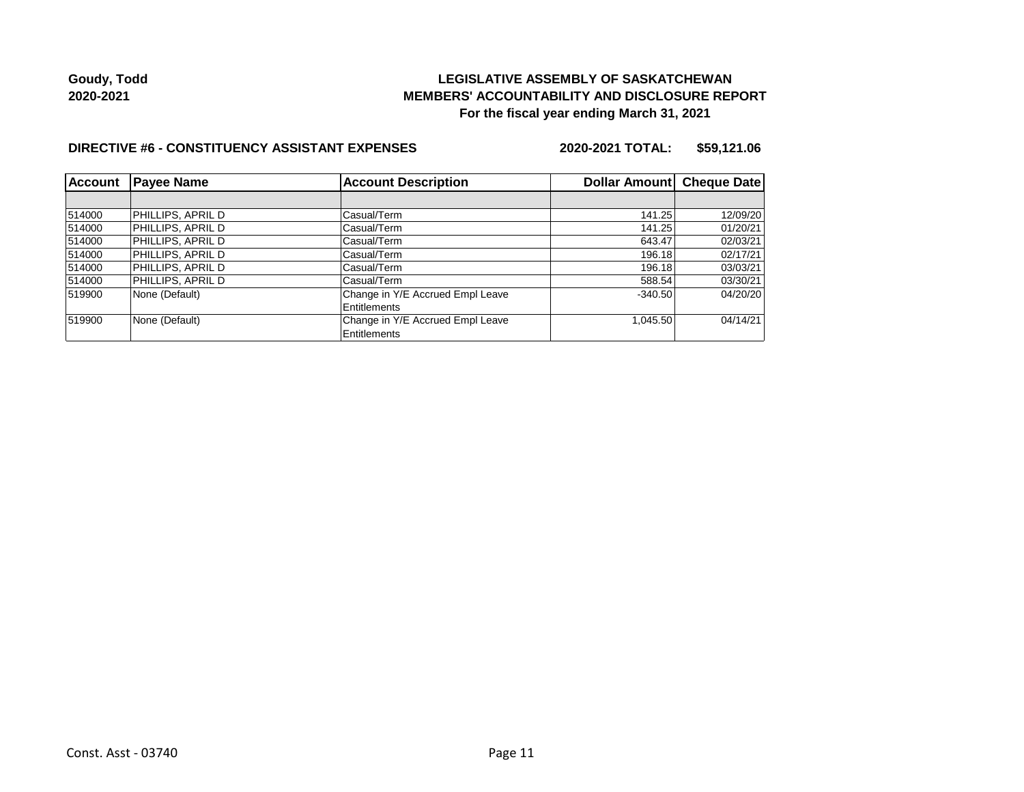## **LEGISLATIVE ASSEMBLY OF SASKATCHEWAN MEMBERS' ACCOUNTABILITY AND DISCLOSURE REPORT For the fiscal year ending March 31, 2021**

#### **DIRECTIVE #6 - CONSTITUENCY ASSISTANT EXPENSES**

**2020-2021 TOTAL: \$59,121.06**

| <b>Account</b> | <b>Payee Name</b> | <b>Account Description</b>                       | Dollar Amount Cheque Date |          |
|----------------|-------------------|--------------------------------------------------|---------------------------|----------|
|                |                   |                                                  |                           |          |
| 514000         | PHILLIPS, APRIL D | Casual/Term                                      | 141.25                    | 12/09/20 |
| 514000         | PHILLIPS, APRIL D | Casual/Term                                      | 141.25                    | 01/20/21 |
| 514000         | PHILLIPS. APRIL D | Casual/Term                                      | 643.47                    | 02/03/21 |
| 514000         | PHILLIPS. APRIL D | Casual/Term                                      | 196.18                    | 02/17/21 |
| 514000         | PHILLIPS, APRIL D | Casual/Term                                      | 196.18                    | 03/03/21 |
| 514000         | PHILLIPS, APRIL D | Casual/Term                                      | 588.54                    | 03/30/21 |
| 519900         | None (Default)    | Change in Y/E Accrued Empl Leave<br>Entitlements | $-340.50$                 | 04/20/20 |
| 519900         | None (Default)    | Change in Y/E Accrued Empl Leave<br>Entitlements | 1,045.50                  | 04/14/21 |